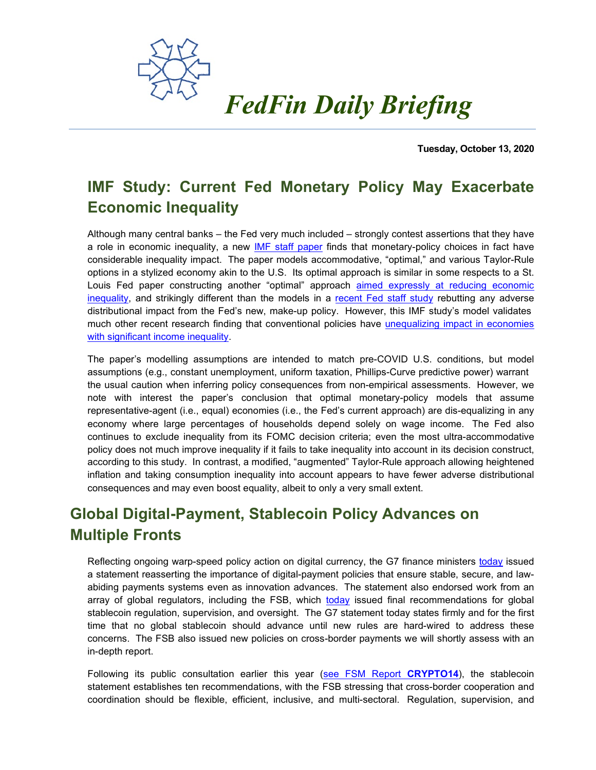

**Tuesday, October 13, 2020**

## **IMF Study: Current Fed Monetary Policy May Exacerbate Economic Inequality**

Although many central banks – the Fed very much included – strongly contest assertions that they have a role in economic inequality, a new [IMF staff paper](https://www.imf.org/en/Publications/WP/Issues/2020/09/25/Should-Inequality-Factor-into-Central-Banks-Decisions-49756) finds that monetary-policy choices in fact have considerable inequality impact. The paper models accommodative, "optimal," and various Taylor-Rule options in a stylized economy akin to the U.S. Its optimal approach is similar in some respects to a St. Louis Fed paper constructing another "optimal" approach aimed expressly at reducing economic [inequality,](https://economicequality.blog/2019/04/01/in-search-of-optimal-equal-monetary-policy/) and strikingly different than the models in a [recent Fed staff study](https://fedfin.com/wp-content/uploads/2020/09/Daily090120.pdf) rebutting any adverse distributional impact from the Fed's new, make-up policy. However, this IMF study's model validates much other recent research finding that conventional policies have unequalizing impact in economies [with significant income inequality.](https://economicequality.blog/2019/04/24/the-low-skill-losers/)

The paper's modelling assumptions are intended to match pre-COVID U.S. conditions, but model assumptions (e.g., constant unemployment, uniform taxation, Phillips-Curve predictive power) warrant the usual caution when inferring policy consequences from non-empirical assessments. However, we note with interest the paper's conclusion that optimal monetary-policy models that assume representative-agent (i.e., equal) economies (i.e., the Fed's current approach) are dis-equalizing in any economy where large percentages of households depend solely on wage income. The Fed also continues to exclude inequality from its FOMC decision criteria; even the most ultra-accommodative policy does not much improve inequality if it fails to take inequality into account in its decision construct, according to this study. In contrast, a modified, "augmented" Taylor-Rule approach allowing heightened inflation and taking consumption inequality into account appears to have fewer adverse distributional consequences and may even boost equality, albeit to only a very small extent.

## **Global Digital-Payment, Stablecoin Policy Advances on Multiple Fronts**

Reflecting ongoing warp-speed policy action on digital currency, the G7 finance ministers [today](https://home.treasury.gov/news/press-releases/sm1152) issued a statement reasserting the importance of digital-payment policies that ensure stable, secure, and lawabiding payments systems even as innovation advances. The statement also endorsed work from an array of global regulators, including the FSB, which [today](https://www.fsb.org/wp-content/uploads/P131020-3.pdf) issued final recommendations for global stablecoin regulation, supervision, and oversight. The G7 statement today states firmly and for the first time that no global stablecoin should advance until new rules are hard-wired to address these concerns. The FSB also issued new policies on cross-border payments we will shortly assess with an in-depth report.

Following its public consultation earlier this year [\(see FSM Report](https://fedfin.com/wp-content/uploads/2020/04/crypto14.pdf) **CRYPTO14**), the stablecoin statement establishes ten recommendations, with the FSB stressing that cross-border cooperation and coordination should be flexible, efficient, inclusive, and multi-sectoral. Regulation, supervision, and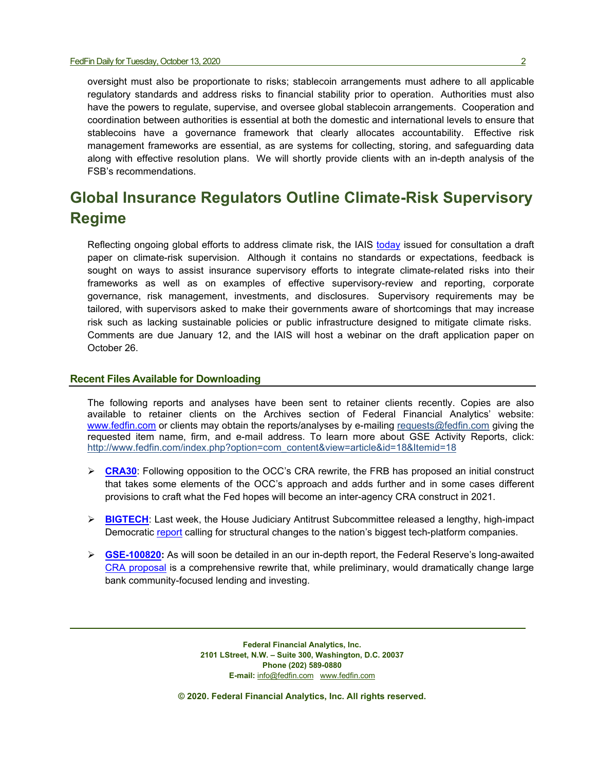oversight must also be proportionate to risks; stablecoin arrangements must adhere to all applicable regulatory standards and address risks to financial stability prior to operation. Authorities must also have the powers to regulate, supervise, and oversee global stablecoin arrangements. Cooperation and coordination between authorities is essential at both the domestic and international levels to ensure that stablecoins have a governance framework that clearly allocates accountability. Effective risk management frameworks are essential, as are systems for collecting, storing, and safeguarding data along with effective resolution plans. We will shortly provide clients with an in-depth analysis of the FSB's recommendations.

## **Global Insurance Regulators Outline Climate-Risk Supervisory Regime**

Reflecting ongoing global efforts to address climate risk, the IAIS [today](https://www.iaisweb.org/page/consultations/current-consultations/application-paper-on-the-supervision-of-climate-related-risks-in-the-insurance-sector/file/92549/questions-draft-application-paper-on-the-supervision-of-climate-related-risks-in-the-insurance-sector) issued for consultation a draft paper on climate-risk supervision. Although it contains no standards or expectations, feedback is sought on ways to assist insurance supervisory efforts to integrate climate-related risks into their frameworks as well as on examples of effective supervisory-review and reporting, corporate governance, risk management, investments, and disclosures. Supervisory requirements may be tailored, with supervisors asked to make their governments aware of shortcomings that may increase risk such as lacking sustainable policies or public infrastructure designed to mitigate climate risks. Comments are due January 12, and the IAIS will host a webinar on the draft application paper on October 26.

## **Recent Files Available for Downloading**

The following reports and analyses have been sent to retainer clients recently. Copies are also available to retainer clients on the Archives section of Federal Financial Analytics' website: [www.fedfin.com](http://www.fedfin.com/) or clients may obtain the reports/analyses by e-mailing [requests@fedfin.com](mailto:requests@fedfin.com) giving the requested item name, firm, and e-mail address. To learn more about GSE Activity Reports, click: [http://www.fedfin.com/index.php?option=com\\_content&view=article&id=18&Itemid=18](http://www.fedfin.com/index.php?option=com_content&view=article&id=18&Itemid=18)

- **ERA30:** Following opposition to the OCC's CRA rewrite, the FRB has proposed an initial construct that takes some elements of the OCC's approach and adds further and in some cases different provisions to craft what the Fed hopes will become an inter-agency CRA construct in 2021.
- **► [BIGTECH](https://fedfin.com/wp-content/uploads/2020/10/BIGTECH.pdf):** Last week, the House Judiciary Antitrust Subcommittee released a lengthy, high-impact Democratic [report](https://judiciary.house.gov/uploadedfiles/competition_in_digital_markets.pdf) calling for structural changes to the nation's biggest tech-platform companies.
- **[GSE-100820:](https://fedfin.com/wp-content/uploads/2020/10/GSE-100920.pdf)** As will soon be detailed in an our in-depth report, the Federal Reserve's long-awaited [CRA proposal](https://www.federalreserve.gov/aboutthefed/boardmeetings/files/cra-fr-notice-20200921.pdf) is a comprehensive rewrite that, while preliminary, would dramatically change large bank community-focused lending and investing.

**Federal Financial Analytics, Inc. 2101 LStreet, N.W. – Suite 300, Washington, D.C. 20037 Phone (202) 589-0880 E-mail:** [info@fedfin.com](mailto:info@fedfin.com)[www.fedfin.com](http://www.fedfin.com/)

**© 2020. Federal Financial Analytics, Inc. All rights reserved.**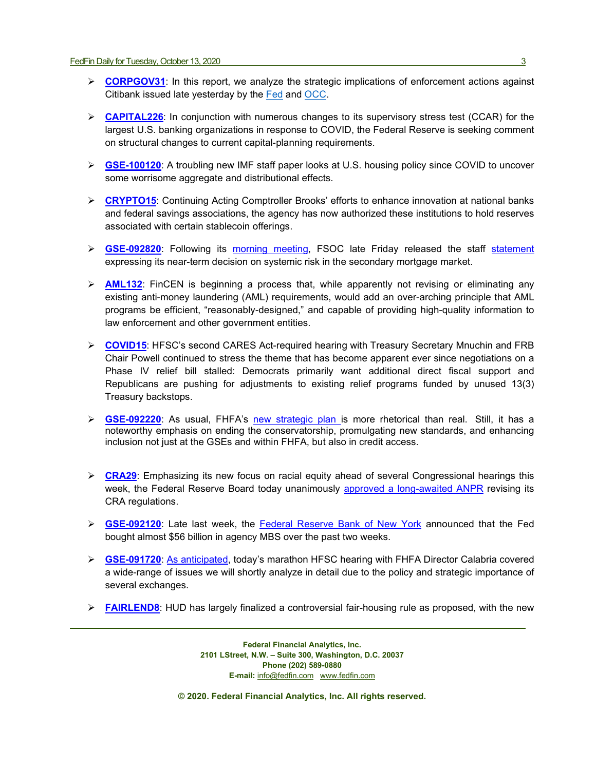- **[CORPGOV31](https://fedfin.com/wp-content/uploads/2020/10/CORPGOV31.pdf)**: In this report, we analyze the strategic implications of enforcement actions against Citibank issued late yesterday by the [Fed](https://www.federalreserve.gov/newsevents/pressreleases/files/enf20201007a1.pdf) and [OCC.](https://www.occ.gov/static/enforcement-actions/ea2020-056.pdf)
- **[CAPITAL226](https://fedfin.com/wp-content/uploads/2020/10/CAPITAL226.pdf)**: In conjunction with numerous changes to its supervisory stress test (CCAR) for the largest U.S. banking organizations in response to COVID, the Federal Reserve is seeking comment on structural changes to current capital-planning requirements.
- **[GSE-100120](https://fedfin.com/wp-content/uploads/2020/10/GSE-100120.pdf)**: A troubling new IMF staff paper looks at U.S. housing policy since COVID to uncover some worrisome aggregate and distributional effects.
- **► [CRYPTO15](https://fedfin.com/wp-content/uploads/2020/09/CRYPTO15.pdf):** Continuing Acting Comptroller Brooks' efforts to enhance innovation at national banks and federal savings associations, the agency has now authorized these institutions to hold reserves associated with certain stablecoin offerings.
- ▶ GSE-092820: Following its [morning meeting,](https://fedfin.com/wp-content/uploads/2020/09/Daily092520.pdf) FSOC late Friday released the staff [statement](https://home.treasury.gov/news/press-releases/sm1136) expressing its near-term decision on systemic risk in the secondary mortgage market.
- **[AML132](https://fedfin.com/wp-content/uploads/2020/09/AML132.pdf)**: FinCEN is beginning a process that, while apparently not revising or eliminating any existing anti-money laundering (AML) requirements, would add an over-arching principle that AML programs be efficient, "reasonably-designed," and capable of providing high-quality information to law enforcement and other government entities.
- **[COVID15](https://fedfin.com/wp-content/uploads/2020/09/COVID15.pdf)**: HFSC's second CARES Act-required hearing with Treasury Secretary Mnuchin and FRB Chair Powell continued to stress the theme that has become apparent ever since negotiations on a Phase IV relief bill stalled: Democrats primarily want additional direct fiscal support and Republicans are pushing for adjustments to existing relief programs funded by unused 13(3) Treasury backstops.
- **[GSE-092220](https://fedfin.com/wp-content/uploads/2020/09/GSE-092220.pdf)**: As usual, FHFA's [new strategic plan is](https://www.fhfa.gov/AboutUs/Reports/ReportDocuments/FHFA_StrategicPlan_9222020.pdf) more rhetorical than real. Still, it has a noteworthy emphasis on ending the conservatorship, promulgating new standards, and enhancing inclusion not just at the GSEs and within FHFA, but also in credit access.
- **ERA29**: Emphasizing its new focus on racial equity ahead of several Congressional hearings this week, the Federal Reserve Board today unanimously [approved a long-awaited](https://www.federalreserve.gov/aboutthefed/boardmeetings/files/cra-fr-notice-20200921.pdf) ANPR revising its CRA regulations.
- **[GSE-092120](https://fedfin.com/wp-content/uploads/2020/09/GSE-092120.pdf)**: Late last week, the Federal [Reserve Bank of New York](https://www.reuters.com/article/us-markets-mortgages-fed/u-s-fed-buys-25-7-billion-of-mortgage-bonds-sells-none-idUSKBN2682ZU?il=0) announced that the Fed bought almost \$56 billion in agency MBS over the past two weeks.
- **[GSE-091720](https://fedfin.com/wp-content/uploads/2020/09/GSE-091720.pdf)**: [As anticipated,](https://fedfin.com/wp-content/uploads/2020/09/Daily091520.pdf) today's marathon HFSC hearing with FHFA Director Calabria covered a wide-range of issues we will shortly analyze in detail due to the policy and strategic importance of several exchanges.
- **[FAIRLEND8](https://fedfin.com/wp-content/uploads/2020/09/FAIRLEND8.pdf):** HUD has largely finalized a controversial fair-housing rule as proposed, with the new

**Federal Financial Analytics, Inc. 2101 LStreet, N.W. – Suite 300, Washington, D.C. 20037 Phone (202) 589-0880 E-mail:** [info@fedfin.com](mailto:info@fedfin.com)[www.fedfin.com](http://www.fedfin.com/)

**© 2020. Federal Financial Analytics, Inc. All rights reserved.**